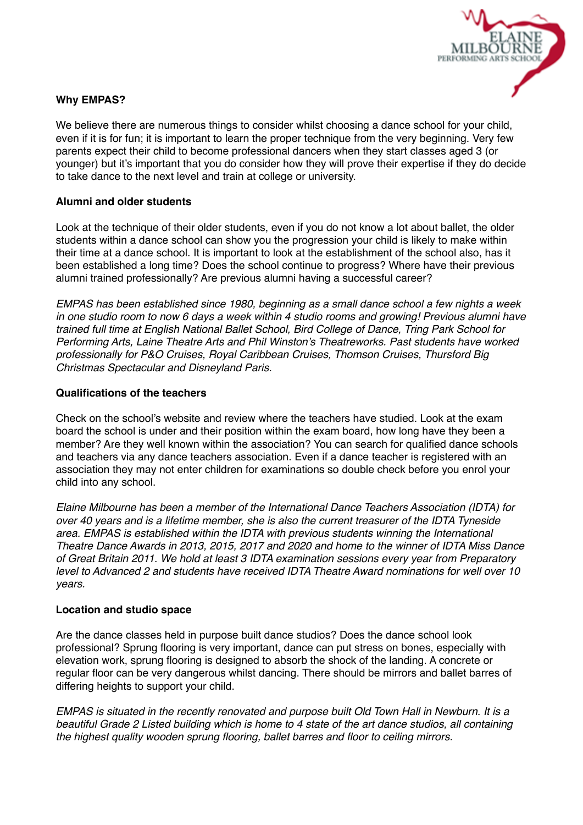

# **Why EMPAS?**

We believe there are numerous things to consider whilst choosing a dance school for your child, even if it is for fun; it is important to learn the proper technique from the very beginning. Very few parents expect their child to become professional dancers when they start classes aged 3 (or younger) but it's important that you do consider how they will prove their expertise if they do decide to take dance to the next level and train at college or university.

## **Alumni and older students**

Look at the technique of their older students, even if you do not know a lot about ballet, the older students within a dance school can show you the progression your child is likely to make within their time at a dance school. It is important to look at the establishment of the school also, has it been established a long time? Does the school continue to progress? Where have their previous alumni trained professionally? Are previous alumni having a successful career?

*EMPAS has been established since 1980, beginning as a small dance school a few nights a week in one studio room to now 6 days a week within 4 studio rooms and growing! Previous alumni have trained full time at English National Ballet School, Bird College of Dance, Tring Park School for Performing Arts, Laine Theatre Arts and Phil Winston's Theatreworks. Past students have worked professionally for P&O Cruises, Royal Caribbean Cruises, Thomson Cruises, Thursford Big Christmas Spectacular and Disneyland Paris.*

### **Qualifications of the teachers**

Check on the school's website and review where the teachers have studied. Look at the exam board the school is under and their position within the exam board, how long have they been a member? Are they well known within the association? You can search for qualified dance schools and teachers via any dance teachers association. Even if a dance teacher is registered with an association they may not enter children for examinations so double check before you enrol your child into any school.

*Elaine Milbourne has been a member of the International Dance Teachers Association (IDTA) for over 40 years and is a lifetime member, she is also the current treasurer of the IDTA Tyneside area. EMPAS is established within the IDTA with previous students winning the International Theatre Dance Awards in 2013, 2015, 2017 and 2020 and home to the winner of IDTA Miss Dance of Great Britain 2011. We hold at least 3 IDTA examination sessions every year from Preparatory level to Advanced 2 and students have received IDTA Theatre Award nominations for well over 10 years.*

### **Location and studio space**

Are the dance classes held in purpose built dance studios? Does the dance school look professional? Sprung flooring is very important, dance can put stress on bones, especially with elevation work, sprung flooring is designed to absorb the shock of the landing. A concrete or regular floor can be very dangerous whilst dancing. There should be mirrors and ballet barres of differing heights to support your child.

*EMPAS is situated in the recently renovated and purpose built Old Town Hall in Newburn. It is a beautiful Grade 2 Listed building which is home to 4 state of the art dance studios, all containing the highest quality wooden sprung flooring, ballet barres and floor to ceiling mirrors.*